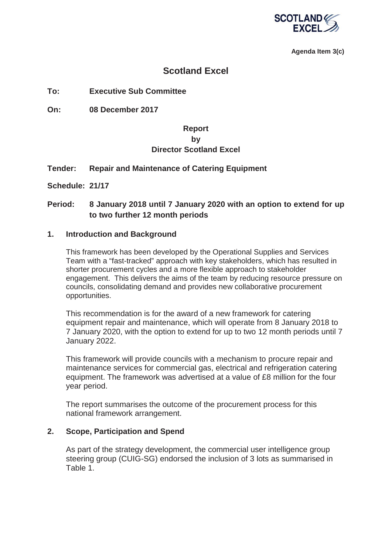

**Agenda Item 3(c)**

## **Scotland Excel**

**To: Executive Sub Committee** 

**On: 08 December 2017** 

## **Report by Director Scotland Excel**

## **Tender: Repair and Maintenance of Catering Equipment**

**Schedule: 21/17**

## **Period: 8 January 2018 until 7 January 2020 with an option to extend for up to two further 12 month periods**

#### **1. Introduction and Background**

This framework has been developed by the Operational Supplies and Services Team with a "fast-tracked" approach with key stakeholders, which has resulted in shorter procurement cycles and a more flexible approach to stakeholder engagement. This delivers the aims of the team by reducing resource pressure on councils, consolidating demand and provides new collaborative procurement opportunities.

This recommendation is for the award of a new framework for catering equipment repair and maintenance, which will operate from 8 January 2018 to 7 January 2020, with the option to extend for up to two 12 month periods until 7 January 2022.

This framework will provide councils with a mechanism to procure repair and maintenance services for commercial gas, electrical and refrigeration catering equipment. The framework was advertised at a value of £8 million for the four year period.

The report summarises the outcome of the procurement process for this national framework arrangement.

## **2. Scope, Participation and Spend**

As part of the strategy development, the commercial user intelligence group steering group (CUIG-SG) endorsed the inclusion of 3 lots as summarised in Table 1.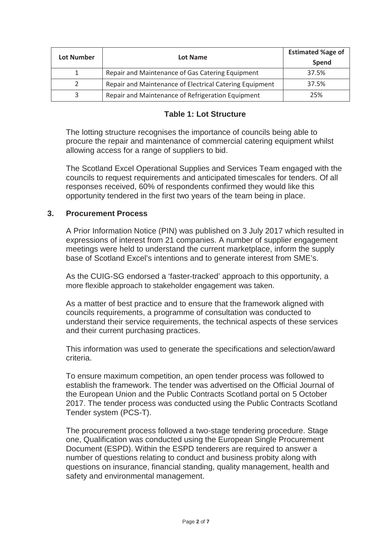| Lot Number | Lot Name                                                | <b>Estimated %age of</b><br>Spend |
|------------|---------------------------------------------------------|-----------------------------------|
|            | Repair and Maintenance of Gas Catering Equipment        | 37.5%                             |
|            | Repair and Maintenance of Electrical Catering Equipment | 37.5%                             |
|            | Repair and Maintenance of Refrigeration Equipment       | 25%                               |

## **Table 1: Lot Structure**

The lotting structure recognises the importance of councils being able to procure the repair and maintenance of commercial catering equipment whilst allowing access for a range of suppliers to bid.

The Scotland Excel Operational Supplies and Services Team engaged with the councils to request requirements and anticipated timescales for tenders. Of all responses received, 60% of respondents confirmed they would like this opportunity tendered in the first two years of the team being in place.

## **3. Procurement Process**

A Prior Information Notice (PIN) was published on 3 July 2017 which resulted in expressions of interest from 21 companies. A number of supplier engagement meetings were held to understand the current marketplace, inform the supply base of Scotland Excel's intentions and to generate interest from SME's.

As the CUIG-SG endorsed a 'faster-tracked' approach to this opportunity, a more flexible approach to stakeholder engagement was taken.

As a matter of best practice and to ensure that the framework aligned with councils requirements, a programme of consultation was conducted to understand their service requirements, the technical aspects of these services and their current purchasing practices.

This information was used to generate the specifications and selection/award criteria.

To ensure maximum competition, an open tender process was followed to establish the framework. The tender was advertised on the Official Journal of the European Union and the Public Contracts Scotland portal on 5 October 2017. The tender process was conducted using the Public Contracts Scotland Tender system (PCS-T).

The procurement process followed a two-stage tendering procedure. Stage one, Qualification was conducted using the European Single Procurement Document (ESPD). Within the ESPD tenderers are required to answer a number of questions relating to conduct and business probity along with questions on insurance, financial standing, quality management, health and safety and environmental management.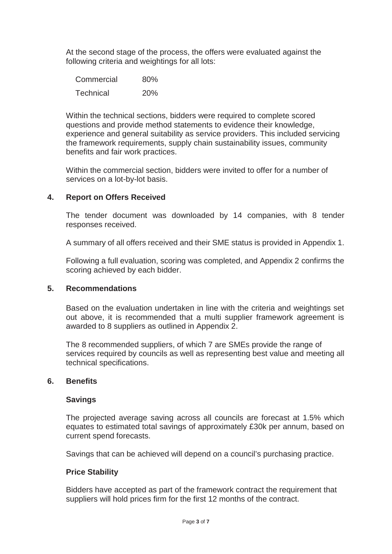At the second stage of the process, the offers were evaluated against the following criteria and weightings for all lots:

| Commercial       | 80%        |
|------------------|------------|
| <b>Technical</b> | <b>20%</b> |

Within the technical sections, bidders were required to complete scored questions and provide method statements to evidence their knowledge, experience and general suitability as service providers. This included servicing the framework requirements, supply chain sustainability issues, community benefits and fair work practices.

Within the commercial section, bidders were invited to offer for a number of services on a lot-by-lot basis.

## **4. Report on Offers Received**

The tender document was downloaded by 14 companies, with 8 tender responses received.

A summary of all offers received and their SME status is provided in Appendix 1.

Following a full evaluation, scoring was completed, and Appendix 2 confirms the scoring achieved by each bidder.

## **5. Recommendations**

Based on the evaluation undertaken in line with the criteria and weightings set out above, it is recommended that a multi supplier framework agreement is awarded to 8 suppliers as outlined in Appendix 2.

The 8 recommended suppliers, of which 7 are SMEs provide the range of services required by councils as well as representing best value and meeting all technical specifications.

## **6. Benefits**

#### **Savings**

The projected average saving across all councils are forecast at 1.5% which equates to estimated total savings of approximately £30k per annum, based on current spend forecasts.

Savings that can be achieved will depend on a council's purchasing practice.

## **Price Stability**

Bidders have accepted as part of the framework contract the requirement that suppliers will hold prices firm for the first 12 months of the contract.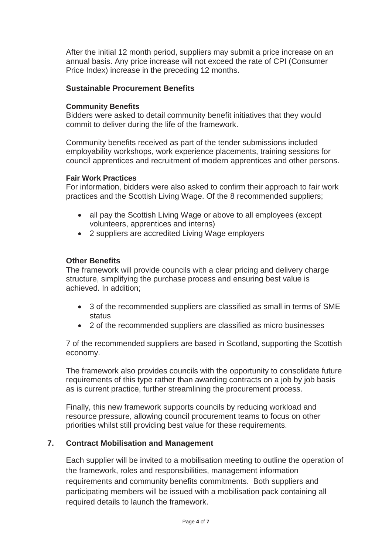After the initial 12 month period, suppliers may submit a price increase on an annual basis. Any price increase will not exceed the rate of CPI (Consumer Price Index) increase in the preceding 12 months.

## **Sustainable Procurement Benefits**

#### **Community Benefits**

Bidders were asked to detail community benefit initiatives that they would commit to deliver during the life of the framework.

Community benefits received as part of the tender submissions included employability workshops, work experience placements, training sessions for council apprentices and recruitment of modern apprentices and other persons.

#### **Fair Work Practices**

For information, bidders were also asked to confirm their approach to fair work practices and the Scottish Living Wage. Of the 8 recommended suppliers;

- all pay the Scottish Living Wage or above to all employees (except volunteers, apprentices and interns)
- 2 suppliers are accredited Living Wage employers

#### **Other Benefits**

The framework will provide councils with a clear pricing and delivery charge structure, simplifying the purchase process and ensuring best value is achieved. In addition;

- 3 of the recommended suppliers are classified as small in terms of SME status
- 2 of the recommended suppliers are classified as micro businesses

7 of the recommended suppliers are based in Scotland, supporting the Scottish economy.

The framework also provides councils with the opportunity to consolidate future requirements of this type rather than awarding contracts on a job by job basis as is current practice, further streamlining the procurement process.

Finally, this new framework supports councils by reducing workload and resource pressure, allowing council procurement teams to focus on other priorities whilst still providing best value for these requirements.

## **7. Contract Mobilisation and Management**

Each supplier will be invited to a mobilisation meeting to outline the operation of the framework, roles and responsibilities, management information requirements and community benefits commitments. Both suppliers and participating members will be issued with a mobilisation pack containing all required details to launch the framework.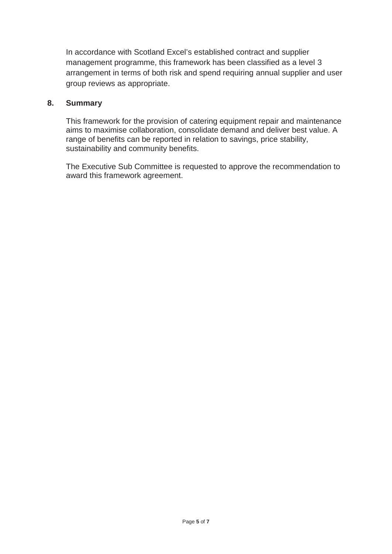In accordance with Scotland Excel's established contract and supplier management programme, this framework has been classified as a level 3 arrangement in terms of both risk and spend requiring annual supplier and user group reviews as appropriate.

## **8. Summary**

This framework for the provision of catering equipment repair and maintenance aims to maximise collaboration, consolidate demand and deliver best value. A range of benefits can be reported in relation to savings, price stability, sustainability and community benefits.

The Executive Sub Committee is requested to approve the recommendation to award this framework agreement.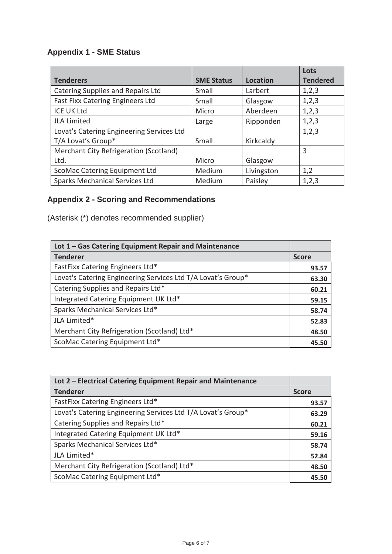## **Appendix 1 - SME Status**

|                                           |                   |                 | Lots            |
|-------------------------------------------|-------------------|-----------------|-----------------|
| <b>Tenderers</b>                          | <b>SME Status</b> | <b>Location</b> | <b>Tendered</b> |
| Catering Supplies and Repairs Ltd         | Small             | Larbert         | 1,2,3           |
| Fast Fixx Catering Engineers Ltd          | Small             | Glasgow         | 1,2,3           |
| <b>ICE UK Ltd</b>                         | Micro             | Aberdeen        | 1,2,3           |
| <b>JLA Limited</b>                        | Large             | Ripponden       | 1,2,3           |
| Lovat's Catering Engineering Services Ltd |                   |                 | 1,2,3           |
| T/A Lovat's Group*                        | Small             | Kirkcaldy       |                 |
| Merchant City Refrigeration (Scotland)    |                   |                 | 3               |
| Ltd.                                      | Micro             | Glasgow         |                 |
| ScoMac Catering Equipment Ltd             | Medium            | Livingston      | 1,2             |
| <b>Sparks Mechanical Services Ltd</b>     | Medium            | Paisley         | 1,2,3           |

# **Appendix 2 - Scoring and Recommendations**

(Asterisk (\*) denotes recommended supplier)

| Lot 1 - Gas Catering Equipment Repair and Maintenance        |       |
|--------------------------------------------------------------|-------|
| <b>Tenderer</b>                                              |       |
| FastFixx Catering Engineers Ltd*                             | 93.57 |
| Lovat's Catering Engineering Services Ltd T/A Lovat's Group* | 63.30 |
| Catering Supplies and Repairs Ltd*                           | 60.21 |
| Integrated Catering Equipment UK Ltd*                        |       |
| Sparks Mechanical Services Ltd*                              | 58.74 |
| JLA Limited*                                                 |       |
| Merchant City Refrigeration (Scotland) Ltd*                  |       |
| ScoMac Catering Equipment Ltd*                               | 45.50 |

| Lot 2 - Electrical Catering Equipment Repair and Maintenance |       |
|--------------------------------------------------------------|-------|
| <b>Tenderer</b>                                              |       |
| FastFixx Catering Engineers Ltd*                             | 93.57 |
| Lovat's Catering Engineering Services Ltd T/A Lovat's Group* | 63.29 |
| Catering Supplies and Repairs Ltd*                           | 60.21 |
| Integrated Catering Equipment UK Ltd*                        |       |
| Sparks Mechanical Services Ltd*                              |       |
| JLA Limited*                                                 |       |
| Merchant City Refrigeration (Scotland) Ltd*                  |       |
| ScoMac Catering Equipment Ltd*                               | 45.50 |